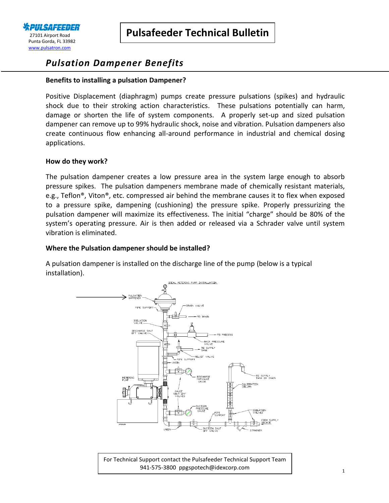

# *Pulsation Dampener Benefits*

#### **Benefits to installing a pulsation Dampener?**

Positive Displacement (diaphragm) pumps create pressure pulsations (spikes) and hydraulic shock due to their stroking action characteristics. These pulsations potentially can harm, damage or shorten the life of system components. A properly set-up and sized pulsation dampener can remove up to 99% hydraulic shock, noise and vibration. Pulsation dampeners also create continuous flow enhancing all-around performance in industrial and chemical dosing applications.

#### **How do they work?**

The pulsation dampener creates a low pressure area in the system large enough to absorb pressure spikes. The pulsation dampeners membrane made of chemically resistant materials, e.g., Teflon®, Viton®, etc. compressed air behind the membrane causes it to flex when exposed to a pressure spike, dampening (cushioning) the pressure spike. Properly pressurizing the pulsation dampener will maximize its effectiveness. The initial "charge" should be 80% of the system's operating pressure. Air is then added or released via a Schrader valve until system vibration is eliminated.

#### **Where the Pulsation dampener should be installed?**

A pulsation dampener is installed on the discharge line of the pump (below is a typical installation).



For Technical Support contact the Pulsafeeder Technical Support Team 941-575-3800 ppgspotech@idexcorp.com